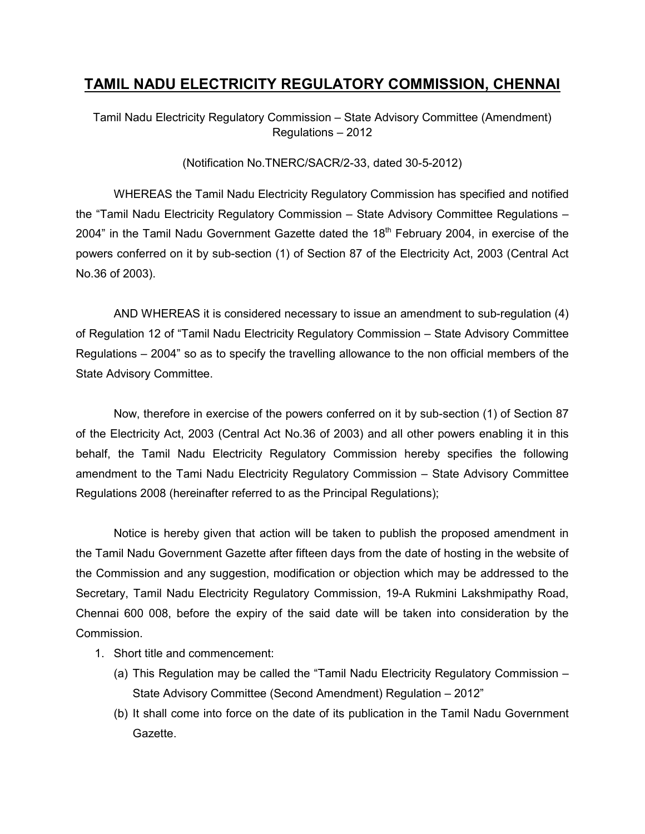## TAMIL NADU ELECTRICITY REGULATORY COMMISSION, CHENNAI

Tamil Nadu Electricity Regulatory Commission – State Advisory Committee (Amendment) Regulations – 2012

## (Notification No.TNERC/SACR/2-33, dated 30-5-2012)

 WHEREAS the Tamil Nadu Electricity Regulatory Commission has specified and notified the "Tamil Nadu Electricity Regulatory Commission – State Advisory Committee Regulations – 2004" in the Tamil Nadu Government Gazette dated the  $18<sup>th</sup>$  February 2004, in exercise of the powers conferred on it by sub-section (1) of Section 87 of the Electricity Act, 2003 (Central Act No.36 of 2003).

 AND WHEREAS it is considered necessary to issue an amendment to sub-regulation (4) of Regulation 12 of "Tamil Nadu Electricity Regulatory Commission – State Advisory Committee Regulations – 2004" so as to specify the travelling allowance to the non official members of the State Advisory Committee.

 Now, therefore in exercise of the powers conferred on it by sub-section (1) of Section 87 of the Electricity Act, 2003 (Central Act No.36 of 2003) and all other powers enabling it in this behalf, the Tamil Nadu Electricity Regulatory Commission hereby specifies the following amendment to the Tami Nadu Electricity Regulatory Commission – State Advisory Committee Regulations 2008 (hereinafter referred to as the Principal Regulations);

 Notice is hereby given that action will be taken to publish the proposed amendment in the Tamil Nadu Government Gazette after fifteen days from the date of hosting in the website of the Commission and any suggestion, modification or objection which may be addressed to the Secretary, Tamil Nadu Electricity Regulatory Commission, 19-A Rukmini Lakshmipathy Road, Chennai 600 008, before the expiry of the said date will be taken into consideration by the Commission.

- 1. Short title and commencement:
	- (a) This Regulation may be called the "Tamil Nadu Electricity Regulatory Commission State Advisory Committee (Second Amendment) Regulation – 2012"
	- (b) It shall come into force on the date of its publication in the Tamil Nadu Government Gazette.